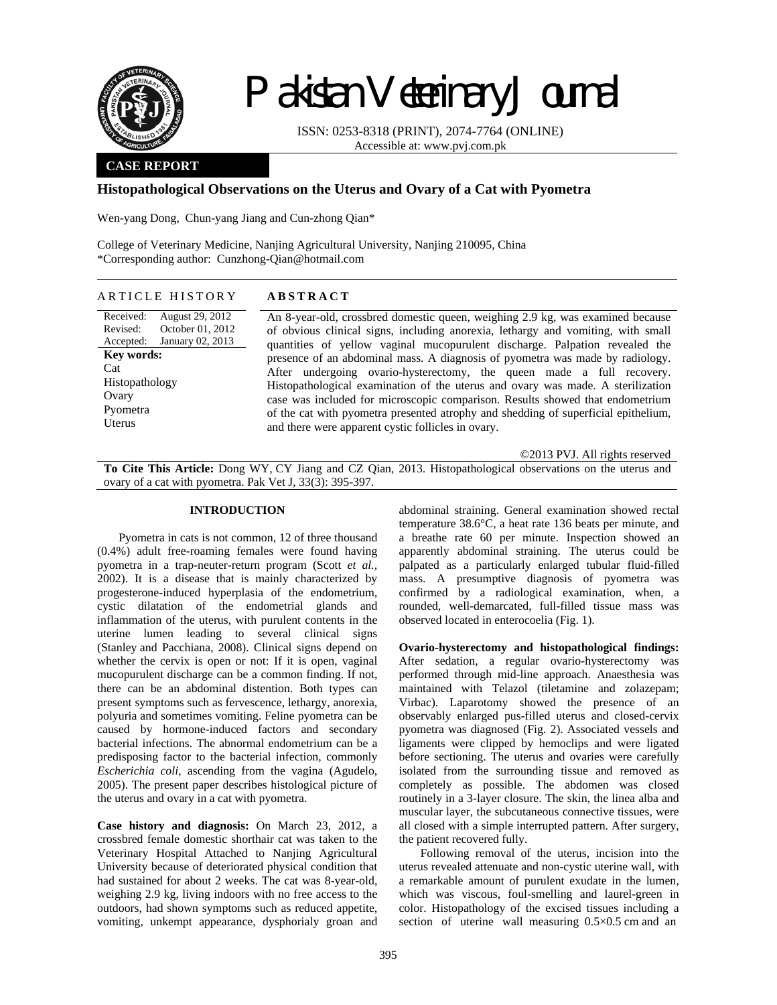

# Pakistan Veterinary Journal

ISSN: 0253-8318 (PRINT), 2074-7764 (ONLINE) Accessible at: www.pvj.com.pk

### **CASE REPORT**

## **Histopathological Observations on the Uterus and Ovary of a Cat with Pyometra**

Wen-yang Dong, Chun-yang Jiang and Cun-zhong Qian\*

College of Veterinary Medicine, Nanjing Agricultural University, Nanjing 210095, China \*Corresponding author: Cunzhong-Qian@hotmail.com

## ARTICLE HISTORY **ABSTRACT**

Received: Revised: Accepted: August 29, 2012 October 01, 2012 January 02, 2013 **Key words:**  Cat Histopathology **Ovary** Pyometra Uterus

An 8-year-old, crossbred domestic queen, weighing 2.9 kg, was examined because of obvious clinical signs, including anorexia, lethargy and vomiting, with small quantities of yellow vaginal mucopurulent discharge. Palpation revealed the presence of an abdominal mass. A diagnosis of pyometra was made by radiology. After undergoing ovario-hysterectomy, the queen made a full recovery. Histopathological examination of the uterus and ovary was made. A sterilization case was included for microscopic comparison. Results showed that endometrium of the cat with pyometra presented atrophy and shedding of superficial epithelium, and there were apparent cystic follicles in ovary.

©2013 PVJ. All rights reserved

**To Cite This Article:** Dong WY, CY Jiang and CZ Qian, 2013. Histopathological observations on the uterus and ovary of a cat with pyometra. Pak Vet J, 33(3): 395-397.

#### **INTRODUCTION**

Pyometra in cats is not common, 12 of three thousand (0.4%) adult free-roaming females were found having pyometra in a trap-neuter-return program (Scott *et al.,* 2002). It is a disease that is mainly characterized by progesterone-induced hyperplasia of the endometrium, cystic dilatation of the endometrial glands and inflammation of the uterus, with purulent contents in the uterine lumen leading to several clinical signs (Stanley and Pacchiana, 2008). Clinical signs depend on whether the cervix is open or not: If it is open, vaginal mucopurulent discharge can be a common finding. If not, there can be an abdominal distention. Both types can present symptoms such as fervescence, lethargy, anorexia, polyuria and sometimes vomiting. Feline pyometra can be caused by hormone-induced factors and secondary bacterial infections. The abnormal endometrium can be a predisposing factor to the bacterial infection, commonly *Escherichia coli*, ascending from the vagina (Agudelo, 2005). The present paper describes histological picture of the uterus and ovary in a cat with pyometra.

**Case history and diagnosis:** On March 23, 2012, a crossbred female domestic shorthair cat was taken to the Veterinary Hospital Attached to Nanjing Agricultural University because of deteriorated physical condition that had sustained for about 2 weeks. The cat was 8-year-old, weighing 2.9 kg, living indoors with no free access to the outdoors, had shown symptoms such as reduced appetite, vomiting, unkempt appearance, dysphorialy groan and

abdominal straining. General examination showed rectal temperature 38.6°C, a heat rate 136 beats per minute, and a breathe rate 60 per minute. Inspection showed an apparently abdominal straining. The uterus could be palpated as a particularly enlarged tubular fluid-filled mass. A presumptive diagnosis of pyometra was confirmed by a radiological examination, when, a rounded, well-demarcated, full-filled tissue mass was observed located in enterocoelia (Fig. 1).

**Ovario-hysterectomy and histopathological findings:**  After sedation, a regular ovario-hysterectomy was performed through mid-line approach. Anaesthesia was maintained with Telazol (tiletamine and zolazepam; Virbac). Laparotomy showed the presence of an observably enlarged pus-filled uterus and closed-cervix pyometra was diagnosed (Fig. 2). Associated vessels and ligaments were clipped by hemoclips and were ligated before sectioning. The uterus and ovaries were carefully isolated from the surrounding tissue and removed as completely as possible. The abdomen was closed routinely in a 3-layer closure. The skin, the linea alba and muscular layer, the subcutaneous connective tissues, were all closed with a simple interrupted pattern. After surgery, the patient recovered fully.

Following removal of the uterus, incision into the uterus revealed attenuate and non-cystic uterine wall, with a remarkable amount of purulent exudate in the lumen, which was viscous, foul-smelling and laurel-green in color. Histopathology of the excised tissues including a section of uterine wall measuring 0.5×0.5 cm and an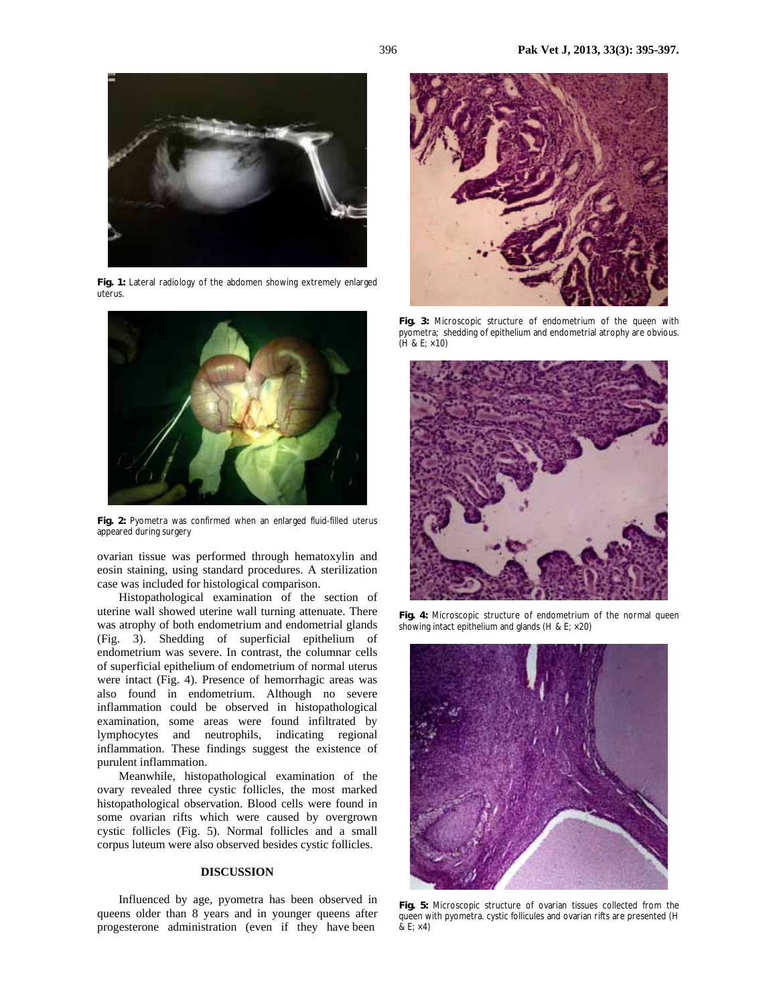

**Fig. 1:** Lateral radiology of the abdomen showing extremely enlarged uterus.



**Fig. 2:** Pyometra was confirmed when an enlarged fluid-filled uterus appeared during surgery

ovarian tissue was performed through hematoxylin and eosin staining, using standard procedures. A sterilization case was included for histological comparison.

Histopathological examination of the section of uterine wall showed uterine wall turning attenuate. There was atrophy of both endometrium and endometrial glands (Fig. 3). Shedding of superficial epithelium of endometrium was severe. In contrast, the columnar cells of superficial epithelium of endometrium of normal uterus were intact (Fig. 4). Presence of hemorrhagic areas was also found in endometrium. Although no severe inflammation could be observed in histopathological examination, some areas were found infiltrated by lymphocytes and neutrophils, indicating regional inflammation. These findings suggest the existence of purulent inflammation.

Meanwhile, histopathological examination of the ovary revealed three cystic follicles, the most marked histopathological observation. Blood cells were found in some ovarian rifts which were caused by overgrown cystic follicles (Fig. 5). Normal follicles and a small corpus luteum were also observed besides cystic follicles.

#### **DISCUSSION**

Influenced by age, pyometra has been observed in queens older than 8 years and in younger queens after progesterone administration (even if they have been



**Fig. 3:** Microscopic structure of endometrium of the queen with pyometra; shedding of epithelium and endometrial atrophy are obvious. (H & E; ×10)



Fig. 4: Microscopic structure of endometrium of the normal queen showing intact epithelium and glands (H & E;  $\times$  20)



**Fig. 5:** Microscopic structure of ovarian tissues collected from the queen with pyometra. cystic follicules and ovarian rifts are presented (H  $&\text{E}; \times 4)$